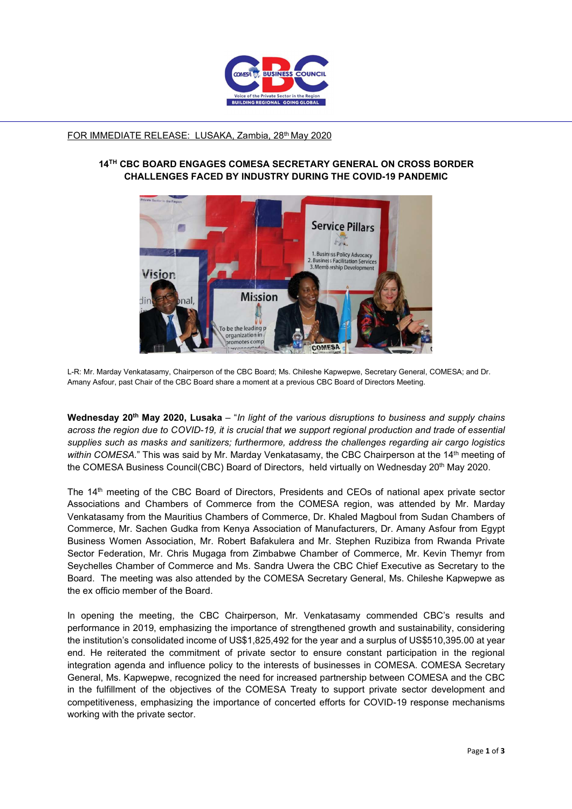

## FOR IMMEDIATE RELEASE: LUSAKA, Zambia, 28<sup>th</sup> May 2020

## 14TH CBC BOARD ENGAGES COMESA SECRETARY GENERAL ON CROSS BORDER CHALLENGES FACED BY INDUSTRY DURING THE COVID-19 PANDEMIC



L-R: Mr. Marday Venkatasamy, Chairperson of the CBC Board; Ms. Chileshe Kapwepwe, Secretary General, COMESA; and Dr. Amany Asfour, past Chair of the CBC Board share a moment at a previous CBC Board of Directors Meeting.

Wednesday 20<sup>th</sup> May 2020, Lusaka – "In light of the various disruptions to business and supply chains across the region due to COVID-19, it is crucial that we support regional production and trade of essential supplies such as masks and sanitizers; furthermore, address the challenges regarding air cargo logistics within COMESA." This was said by Mr. Marday Venkatasamy, the CBC Chairperson at the 14<sup>th</sup> meeting of the COMESA Business Council(CBC) Board of Directors, held virtually on Wednesday 20<sup>th</sup> May 2020.

The 14<sup>th</sup> meeting of the CBC Board of Directors, Presidents and CEOs of national apex private sector Associations and Chambers of Commerce from the COMESA region, was attended by Mr. Marday Venkatasamy from the Mauritius Chambers of Commerce, Dr. Khaled Magboul from Sudan Chambers of Commerce, Mr. Sachen Gudka from Kenya Association of Manufacturers, Dr. Amany Asfour from Egypt Business Women Association, Mr. Robert Bafakulera and Mr. Stephen Ruzibiza from Rwanda Private Sector Federation, Mr. Chris Mugaga from Zimbabwe Chamber of Commerce, Mr. Kevin Themyr from Seychelles Chamber of Commerce and Ms. Sandra Uwera the CBC Chief Executive as Secretary to the Board. The meeting was also attended by the COMESA Secretary General, Ms. Chileshe Kapwepwe as the ex officio member of the Board.

In opening the meeting, the CBC Chairperson, Mr. Venkatasamy commended CBC's results and performance in 2019, emphasizing the importance of strengthened growth and sustainability, considering the institution's consolidated income of US\$1,825,492 for the year and a surplus of US\$510,395.00 at year end. He reiterated the commitment of private sector to ensure constant participation in the regional integration agenda and influence policy to the interests of businesses in COMESA. COMESA Secretary General, Ms. Kapwepwe, recognized the need for increased partnership between COMESA and the CBC in the fulfillment of the objectives of the COMESA Treaty to support private sector development and competitiveness, emphasizing the importance of concerted efforts for COVID-19 response mechanisms working with the private sector.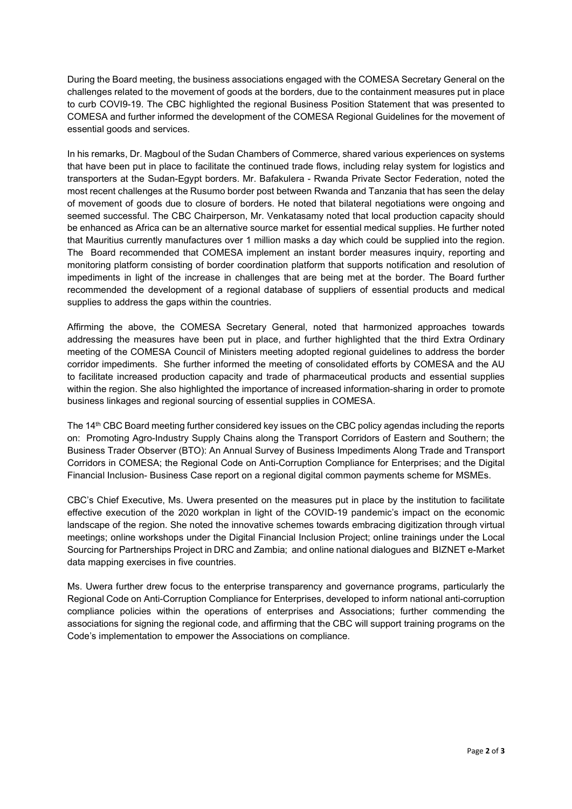During the Board meeting, the business associations engaged with the COMESA Secretary General on the challenges related to the movement of goods at the borders, due to the containment measures put in place to curb COVI9-19. The CBC highlighted the regional Business Position Statement that was presented to COMESA and further informed the development of the COMESA Regional Guidelines for the movement of essential goods and services.

In his remarks, Dr. Magboul of the Sudan Chambers of Commerce, shared various experiences on systems that have been put in place to facilitate the continued trade flows, including relay system for logistics and transporters at the Sudan-Egypt borders. Mr. Bafakulera - Rwanda Private Sector Federation, noted the most recent challenges at the Rusumo border post between Rwanda and Tanzania that has seen the delay of movement of goods due to closure of borders. He noted that bilateral negotiations were ongoing and seemed successful. The CBC Chairperson, Mr. Venkatasamy noted that local production capacity should be enhanced as Africa can be an alternative source market for essential medical supplies. He further noted that Mauritius currently manufactures over 1 million masks a day which could be supplied into the region. The Board recommended that COMESA implement an instant border measures inquiry, reporting and monitoring platform consisting of border coordination platform that supports notification and resolution of impediments in light of the increase in challenges that are being met at the border. The Board further recommended the development of a regional database of suppliers of essential products and medical supplies to address the gaps within the countries.

Affirming the above, the COMESA Secretary General, noted that harmonized approaches towards addressing the measures have been put in place, and further highlighted that the third Extra Ordinary meeting of the COMESA Council of Ministers meeting adopted regional guidelines to address the border corridor impediments. She further informed the meeting of consolidated efforts by COMESA and the AU to facilitate increased production capacity and trade of pharmaceutical products and essential supplies within the region. She also highlighted the importance of increased information-sharing in order to promote business linkages and regional sourcing of essential supplies in COMESA.

The 14th CBC Board meeting further considered key issues on the CBC policy agendas including the reports on: Promoting Agro-Industry Supply Chains along the Transport Corridors of Eastern and Southern; the Business Trader Observer (BTO): An Annual Survey of Business Impediments Along Trade and Transport Corridors in COMESA; the Regional Code on Anti-Corruption Compliance for Enterprises; and the Digital Financial Inclusion- Business Case report on a regional digital common payments scheme for MSMEs.

CBC's Chief Executive, Ms. Uwera presented on the measures put in place by the institution to facilitate effective execution of the 2020 workplan in light of the COVID-19 pandemic's impact on the economic landscape of the region. She noted the innovative schemes towards embracing digitization through virtual meetings; online workshops under the Digital Financial Inclusion Project; online trainings under the Local Sourcing for Partnerships Project in DRC and Zambia; and online national dialogues and BIZNET e-Market data mapping exercises in five countries.

Ms. Uwera further drew focus to the enterprise transparency and governance programs, particularly the Regional Code on Anti-Corruption Compliance for Enterprises, developed to inform national anti-corruption compliance policies within the operations of enterprises and Associations; further commending the associations for signing the regional code, and affirming that the CBC will support training programs on the Code's implementation to empower the Associations on compliance.